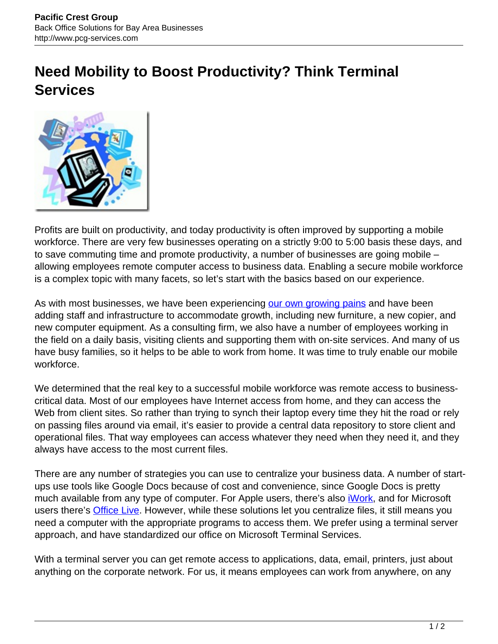## **Need Mobility to Boost Productivity? Think Terminal Services**



Profits are built on productivity, and today productivity is often improved by supporting a mobile workforce. There are very few businesses operating on a strictly 9:00 to 5:00 basis these days, and to save commuting time and promote productivity, a number of businesses are going mobile – allowing employees remote computer access to business data. Enabling a secure mobile workforce is a complex topic with many facets, so let's start with the basics based on our experience.

As with most businesses, we have been experiencing [our own growing pains](http://www.pcg-services.com/resources/mobile-workforce-truly-technically-mobile/) and have been adding staff and infrastructure to accommodate growth, including new furniture, a new copier, and new computer equipment. As a consulting firm, we also have a number of employees working in the field on a daily basis, visiting clients and supporting them with on-site services. And many of us have busy families, so it helps to be able to work from home. It was time to truly enable our mobile workforce.

We determined that the real key to a successful mobile workforce was remote access to businesscritical data. Most of our employees have Internet access from home, and they can access the Web from client sites. So rather than trying to synch their laptop every time they hit the road or rely on passing files around via email, it's easier to provide a central data repository to store client and operational files. That way employees can access whatever they need when they need it, and they always have access to the most current files.

There are any number of strategies you can use to centralize your business data. A number of startups use tools like Google Docs because of cost and convenience, since Google Docs is pretty much available from any type of computer. For Apple users, there's also *iWork*, and for Microsoft users there's **[Office Live](http://www.officelive.com/en-us/)**. However, while these solutions let you centralize files, it still means you need a computer with the appropriate programs to access them. We prefer using a terminal server approach, and have standardized our office on Microsoft Terminal Services.

With a terminal server you can get remote access to applications, data, email, printers, just about anything on the corporate network. For us, it means employees can work from anywhere, on any